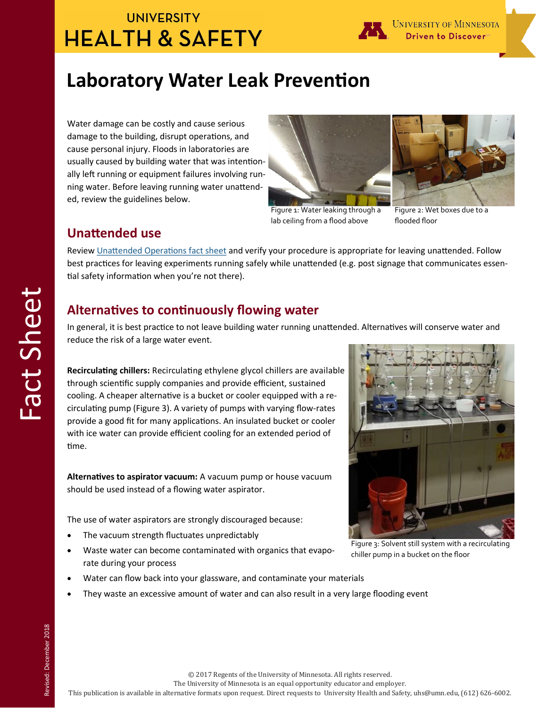# **UNIVERSITY HEALTH & SAFETY**



UNIVERSITY OF MINNESOTA Driven to Discovert

# **Laboratory Water Leak Prevention**

Water damage can be costly and cause serious damage to the building, disrupt operations, and cause personal injury. Floods in laboratories are usually caused by building water that was intentionally left running or equipment failures involving running water. Before leaving running water unattended, review the guidelines below.



Figure 1: Water leaking through a lab ceiling from a flood above

Figure 2: Wet boxes due to a

flooded floor

#### **Unattended use**

Review [Unattended Operations fact sheet](https://dehs.umn.edu/node/129431/attachment) and verify your procedure is appropriate for leaving unattended. Follow best practices for leaving experiments running safely while unattended (e.g. post signage that communicates essential safety information when you're not there).

### **Alternatives to continuously flowing water**

In general, it is best practice to not leave building water running unattended. Alternatives will conserve water and reduce the risk of a large water event.

**Recirculating chillers:** Recirculating ethylene glycol chillers are available through scientific supply companies and provide efficient, sustained cooling. A cheaper alternative is a bucket or cooler equipped with a recirculating pump (Figure 3). A variety of pumps with varying flow-rates provide a good fit for many applications. An insulated bucket or cooler with ice water can provide efficient cooling for an extended period of time.

**Alternatives to aspirator vacuum:** A vacuum pump or house vacuum should be used instead of a flowing water aspirator.

The use of water aspirators are strongly discouraged because:

- The vacuum strength fluctuates unpredictably
- Waste water can become contaminated with organics that evaporate during your process
- Water can flow back into your glassware, and contaminate your materials
- They waste an excessive amount of water and can also result in a very large flooding event

© 2017 Regents of the University of Minnesota. All rights reserved.

The University of Minnesota is an equal opportunity educator and employer.

Figure 3: Solvent still system with a recirculating chiller pump in a bucket on the floor